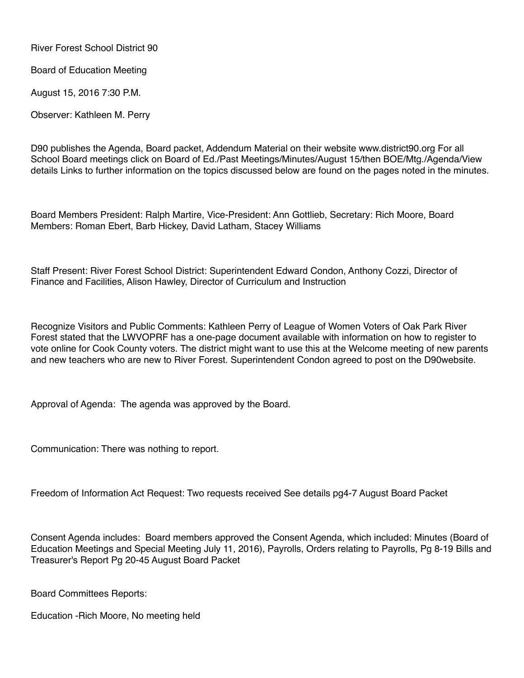River Forest School District 90

Board of Education Meeting

August 15, 2016 7:30 P.M.

Observer: Kathleen M. Perry

D90 publishes the Agenda, Board packet, Addendum Material on their website www.district90.org For all School Board meetings click on Board of Ed./Past Meetings/Minutes/August 15/then BOE/Mtg./Agenda/View details Links to further information on the topics discussed below are found on the pages noted in the minutes.

Board Members President: Ralph Martire, Vice-President: Ann Gottlieb, Secretary: Rich Moore, Board Members: Roman Ebert, Barb Hickey, David Latham, Stacey Williams

Staff Present: River Forest School District: Superintendent Edward Condon, Anthony Cozzi, Director of Finance and Facilities, Alison Hawley, Director of Curriculum and Instruction

Recognize Visitors and Public Comments: Kathleen Perry of League of Women Voters of Oak Park River Forest stated that the LWVOPRF has a one-page document available with information on how to register to vote online for Cook County voters. The district might want to use this at the Welcome meeting of new parents and new teachers who are new to River Forest. Superintendent Condon agreed to post on the D90website.

Approval of Agenda: The agenda was approved by the Board.

Communication: There was nothing to report.

Freedom of Information Act Request: Two requests received See details pg4-7 August Board Packet

Consent Agenda includes: Board members approved the Consent Agenda, which included: Minutes (Board of Education Meetings and Special Meeting July 11, 2016), Payrolls, Orders relating to Payrolls, Pg 8-19 Bills and Treasurer's Report Pg 20-45 August Board Packet

Board Committees Reports:

Education -Rich Moore, No meeting held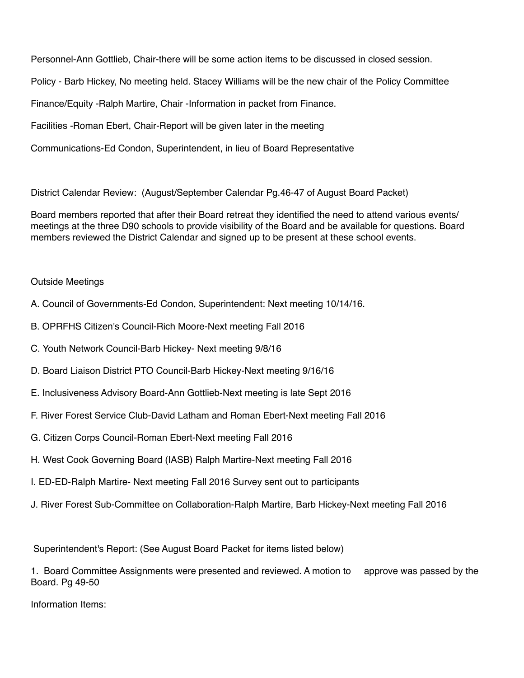Personnel-Ann Gottlieb, Chair-there will be some action items to be discussed in closed session. Policy - Barb Hickey, No meeting held. Stacey Williams will be the new chair of the Policy Committee

Finance/Equity -Ralph Martire, Chair -Information in packet from Finance.

Facilities -Roman Ebert, Chair-Report will be given later in the meeting

Communications-Ed Condon, Superintendent, in lieu of Board Representative

District Calendar Review: (August/September Calendar Pg.46-47 of August Board Packet)

Board members reported that after their Board retreat they identified the need to attend various events/ meetings at the three D90 schools to provide visibility of the Board and be available for questions. Board members reviewed the District Calendar and signed up to be present at these school events.

## Outside Meetings

- A. Council of Governments-Ed Condon, Superintendent: Next meeting 10/14/16.
- B. OPRFHS Citizen's Council-Rich Moore-Next meeting Fall 2016
- C. Youth Network Council-Barb Hickey- Next meeting 9/8/16
- D. Board Liaison District PTO Council-Barb Hickey-Next meeting 9/16/16
- E. Inclusiveness Advisory Board-Ann Gottlieb-Next meeting is late Sept 2016
- F. River Forest Service Club-David Latham and Roman Ebert-Next meeting Fall 2016
- G. Citizen Corps Council-Roman Ebert-Next meeting Fall 2016
- H. West Cook Governing Board (IASB) Ralph Martire-Next meeting Fall 2016
- I. ED-ED-Ralph Martire- Next meeting Fall 2016 Survey sent out to participants
- J. River Forest Sub-Committee on Collaboration-Ralph Martire, Barb Hickey-Next meeting Fall 2016

Superintendent's Report: (See August Board Packet for items listed below)

1. Board Committee Assignments were presented and reviewed. A motion to approve was passed by the Board. Pg 49-50

Information Items: